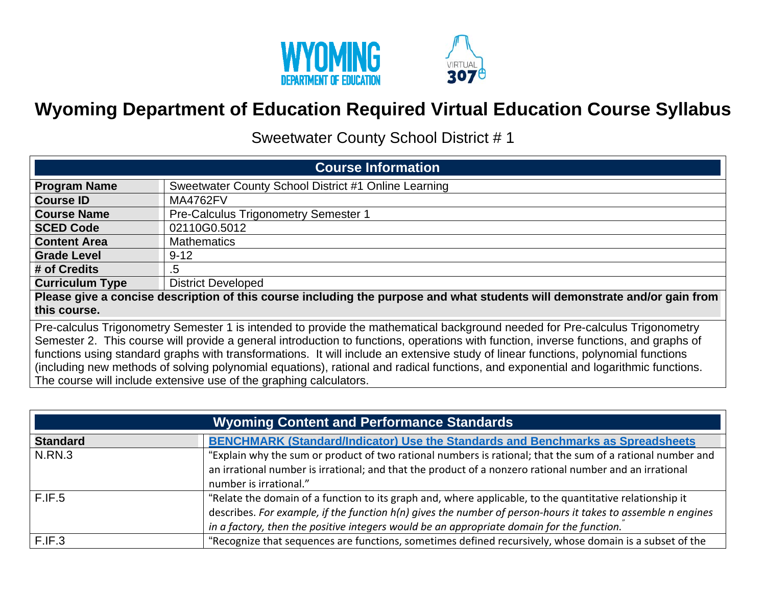

## **Wyoming Department of Education Required Virtual Education Course Syllabus**

Sweetwater County School District # 1

| <b>Course Information</b>                                                                                                                                                                                                                                                                                                                                                                                                                                                                                                                         |                                                                                                                            |  |
|---------------------------------------------------------------------------------------------------------------------------------------------------------------------------------------------------------------------------------------------------------------------------------------------------------------------------------------------------------------------------------------------------------------------------------------------------------------------------------------------------------------------------------------------------|----------------------------------------------------------------------------------------------------------------------------|--|
| <b>Program Name</b>                                                                                                                                                                                                                                                                                                                                                                                                                                                                                                                               | Sweetwater County School District #1 Online Learning                                                                       |  |
| <b>Course ID</b>                                                                                                                                                                                                                                                                                                                                                                                                                                                                                                                                  | <b>MA4762FV</b>                                                                                                            |  |
| <b>Course Name</b>                                                                                                                                                                                                                                                                                                                                                                                                                                                                                                                                | <b>Pre-Calculus Trigonometry Semester 1</b>                                                                                |  |
| <b>SCED Code</b>                                                                                                                                                                                                                                                                                                                                                                                                                                                                                                                                  | 02110G0.5012                                                                                                               |  |
| <b>Content Area</b>                                                                                                                                                                                                                                                                                                                                                                                                                                                                                                                               | <b>Mathematics</b>                                                                                                         |  |
| <b>Grade Level</b>                                                                                                                                                                                                                                                                                                                                                                                                                                                                                                                                | $9 - 12$                                                                                                                   |  |
| # of Credits                                                                                                                                                                                                                                                                                                                                                                                                                                                                                                                                      | .5                                                                                                                         |  |
| <b>Curriculum Type</b>                                                                                                                                                                                                                                                                                                                                                                                                                                                                                                                            | <b>District Developed</b>                                                                                                  |  |
|                                                                                                                                                                                                                                                                                                                                                                                                                                                                                                                                                   | Please give a concise description of this course including the purpose and what students will demonstrate and/or gain from |  |
| this course.                                                                                                                                                                                                                                                                                                                                                                                                                                                                                                                                      |                                                                                                                            |  |
| Pre-calculus Trigonometry Semester 1 is intended to provide the mathematical background needed for Pre-calculus Trigonometry<br>Semester 2. This course will provide a general introduction to functions, operations with function, inverse functions, and graphs of<br>functions using standard graphs with transformations. It will include an extensive study of linear functions, polynomial functions<br>(including new methods of solving polynomial equations), rational and radical functions, and exponential and logarithmic functions. |                                                                                                                            |  |
| The course will include extensive use of the graphing calculators.                                                                                                                                                                                                                                                                                                                                                                                                                                                                                |                                                                                                                            |  |

| <b>Wyoming Content and Performance Standards</b> |                                                                                                                                                                                                                                                                                                                       |  |
|--------------------------------------------------|-----------------------------------------------------------------------------------------------------------------------------------------------------------------------------------------------------------------------------------------------------------------------------------------------------------------------|--|
| <b>Standard</b>                                  | <b>BENCHMARK (Standard/Indicator) Use the Standards and Benchmarks as Spreadsheets</b>                                                                                                                                                                                                                                |  |
| N.RN.3                                           | "Explain why the sum or product of two rational numbers is rational; that the sum of a rational number and<br>an irrational number is irrational; and that the product of a nonzero rational number and an irrational<br>number is irrational."                                                                       |  |
| F.IF.5                                           | "Relate the domain of a function to its graph and, where applicable, to the quantitative relationship it<br>describes. For example, if the function h(n) gives the number of person-hours it takes to assemble n engines<br>in a factory, then the positive integers would be an appropriate domain for the function. |  |
| F.IF.3                                           | "Recognize that sequences are functions, sometimes defined recursively, whose domain is a subset of the                                                                                                                                                                                                               |  |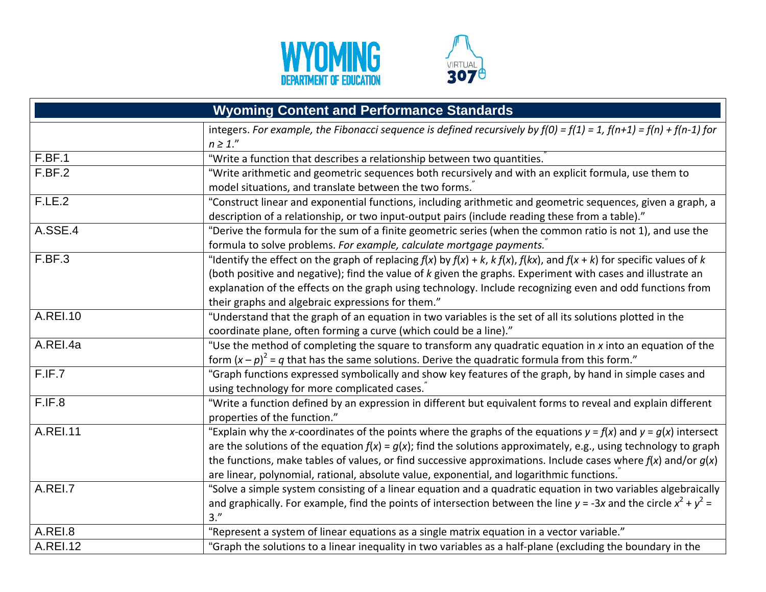



| <b>Wyoming Content and Performance Standards</b> |                                                                                                                                    |  |
|--------------------------------------------------|------------------------------------------------------------------------------------------------------------------------------------|--|
|                                                  | integers. For example, the Fibonacci sequence is defined recursively by $f(0) = f(1) = 1$ , $f(n+1) = f(n) + f(n-1)$ for           |  |
|                                                  | $n \geq 1."$                                                                                                                       |  |
| F.BF.1                                           | "Write a function that describes a relationship between two quantities.                                                            |  |
| F.BF.2                                           | "Write arithmetic and geometric sequences both recursively and with an explicit formula, use them to                               |  |
|                                                  | model situations, and translate between the two forms.                                                                             |  |
| F.LE.2                                           | "Construct linear and exponential functions, including arithmetic and geometric sequences, given a graph, a                        |  |
|                                                  | description of a relationship, or two input-output pairs (include reading these from a table)."                                    |  |
| A.SSE.4                                          | "Derive the formula for the sum of a finite geometric series (when the common ratio is not 1), and use the                         |  |
|                                                  | formula to solve problems. For example, calculate mortgage payments.                                                               |  |
| F.BF.3                                           | "Identify the effect on the graph of replacing $f(x)$ by $f(x) + k$ , $k f(x)$ , $f(kx)$ , and $f(x + k)$ for specific values of k |  |
|                                                  | (both positive and negative); find the value of k given the graphs. Experiment with cases and illustrate an                        |  |
|                                                  | explanation of the effects on the graph using technology. Include recognizing even and odd functions from                          |  |
|                                                  | their graphs and algebraic expressions for them."                                                                                  |  |
| A.REI.10                                         | "Understand that the graph of an equation in two variables is the set of all its solutions plotted in the                          |  |
|                                                  | coordinate plane, often forming a curve (which could be a line)."                                                                  |  |
| A.REI.4a                                         | "Use the method of completing the square to transform any quadratic equation in x into an equation of the                          |  |
|                                                  | form $(x-p)^2 = q$ that has the same solutions. Derive the quadratic formula from this form."                                      |  |
| F.IF.7                                           | "Graph functions expressed symbolically and show key features of the graph, by hand in simple cases and                            |  |
|                                                  | using technology for more complicated cases.                                                                                       |  |
| F.IF.8                                           | "Write a function defined by an expression in different but equivalent forms to reveal and explain different                       |  |
|                                                  | properties of the function."                                                                                                       |  |
| <b>A.REI.11</b>                                  | "Explain why the x-coordinates of the points where the graphs of the equations $y = f(x)$ and $y = g(x)$ intersect                 |  |
|                                                  | are the solutions of the equation $f(x) = g(x)$ ; find the solutions approximately, e.g., using technology to graph                |  |
|                                                  | the functions, make tables of values, or find successive approximations. Include cases where $f(x)$ and/or $g(x)$                  |  |
|                                                  | are linear, polynomial, rational, absolute value, exponential, and logarithmic functions.                                          |  |
| A.REI.7                                          | "Solve a simple system consisting of a linear equation and a quadratic equation in two variables algebraically                     |  |
|                                                  | and graphically. For example, find the points of intersection between the line $y = -3x$ and the circle $x^2 + y^2 =$              |  |
|                                                  | $3.$ "                                                                                                                             |  |
| A.REI.8                                          | "Represent a system of linear equations as a single matrix equation in a vector variable."                                         |  |
| <b>A.REI.12</b>                                  | "Graph the solutions to a linear inequality in two variables as a half-plane (excluding the boundary in the                        |  |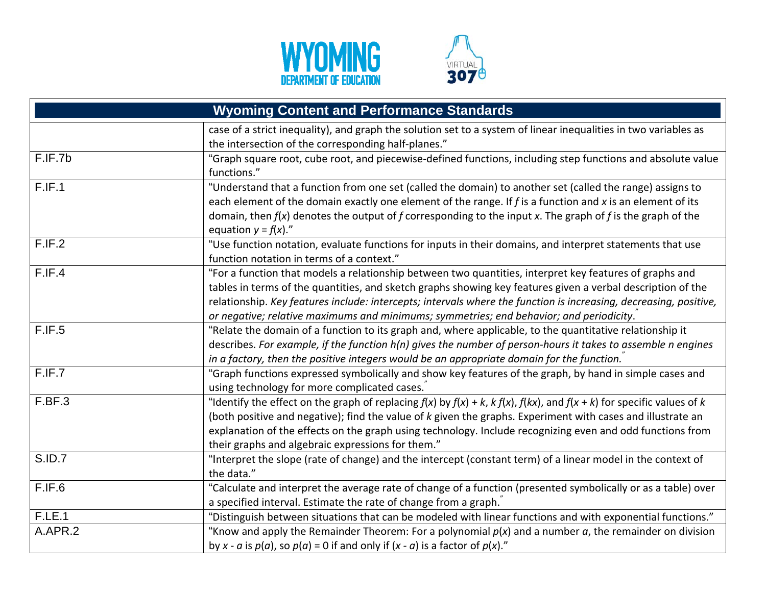



|               | <b>Wyoming Content and Performance Standards</b>                                                                                   |
|---------------|------------------------------------------------------------------------------------------------------------------------------------|
|               | case of a strict inequality), and graph the solution set to a system of linear inequalities in two variables as                    |
|               | the intersection of the corresponding half-planes."                                                                                |
| F.IF.7b       | "Graph square root, cube root, and piecewise-defined functions, including step functions and absolute value                        |
|               | functions."                                                                                                                        |
| F.IF.1        | "Understand that a function from one set (called the domain) to another set (called the range) assigns to                          |
|               | each element of the domain exactly one element of the range. If $f$ is a function and $x$ is an element of its                     |
|               | domain, then $f(x)$ denotes the output of f corresponding to the input x. The graph of f is the graph of the                       |
|               | equation $y = f(x)$ ."                                                                                                             |
| F.IF.2        | "Use function notation, evaluate functions for inputs in their domains, and interpret statements that use                          |
|               | function notation in terms of a context."                                                                                          |
| F.IF.4        | "For a function that models a relationship between two quantities, interpret key features of graphs and                            |
|               | tables in terms of the quantities, and sketch graphs showing key features given a verbal description of the                        |
|               | relationship. Key features include: intercepts; intervals where the function is increasing, decreasing, positive,                  |
|               | or negative; relative maximums and minimums; symmetries; end behavior; and periodicity.                                            |
| F.IF.5        | "Relate the domain of a function to its graph and, where applicable, to the quantitative relationship it                           |
|               | describes. For example, if the function h(n) gives the number of person-hours it takes to assemble n engines                       |
|               | in a factory, then the positive integers would be an appropriate domain for the function.                                          |
| F.IF.7        | "Graph functions expressed symbolically and show key features of the graph, by hand in simple cases and                            |
|               | using technology for more complicated cases.                                                                                       |
| F.BF.3        | "Identify the effect on the graph of replacing $f(x)$ by $f(x) + k$ , $k f(x)$ , $f(kx)$ , and $f(x + k)$ for specific values of k |
|               | (both positive and negative); find the value of k given the graphs. Experiment with cases and illustrate an                        |
|               | explanation of the effects on the graph using technology. Include recognizing even and odd functions from                          |
|               | their graphs and algebraic expressions for them."                                                                                  |
| <b>S.ID.7</b> | "Interpret the slope (rate of change) and the intercept (constant term) of a linear model in the context of                        |
|               | the data."                                                                                                                         |
| F.IF.6        | "Calculate and interpret the average rate of change of a function (presented symbolically or as a table) over                      |
|               | a specified interval. Estimate the rate of change from a graph.                                                                    |
| <b>F.LE.1</b> | "Distinguish between situations that can be modeled with linear functions and with exponential functions."                         |
| A.APR.2       | "Know and apply the Remainder Theorem: For a polynomial $p(x)$ and a number $a$ , the remainder on division                        |
|               | by x - a is $p(a)$ , so $p(a)$ = 0 if and only if $(x - a)$ is a factor of $p(x)$ ."                                               |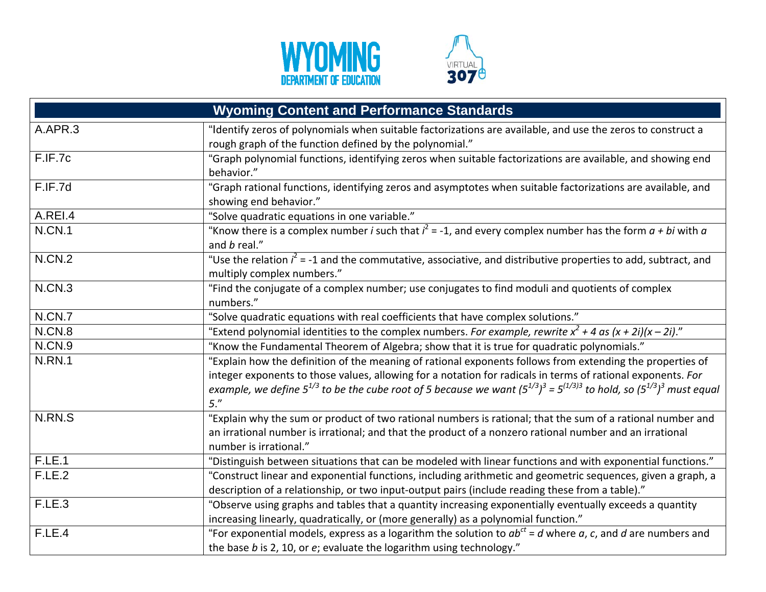



| <b>Wyoming Content and Performance Standards</b> |                                                                                                                                                                                                                                                                    |  |
|--------------------------------------------------|--------------------------------------------------------------------------------------------------------------------------------------------------------------------------------------------------------------------------------------------------------------------|--|
| A.APR.3                                          | "Identify zeros of polynomials when suitable factorizations are available, and use the zeros to construct a<br>rough graph of the function defined by the polynomial."                                                                                             |  |
| F.IF.7c                                          | "Graph polynomial functions, identifying zeros when suitable factorizations are available, and showing end<br>behavior."                                                                                                                                           |  |
| F.IF.7d                                          | "Graph rational functions, identifying zeros and asymptotes when suitable factorizations are available, and<br>showing end behavior."                                                                                                                              |  |
| A.REI.4                                          | "Solve quadratic equations in one variable."                                                                                                                                                                                                                       |  |
| <b>N.CN.1</b>                                    | "Know there is a complex number <i>i</i> such that $i^2 = -1$ , and every complex number has the form $a + bi$ with $a$<br>and b real."                                                                                                                            |  |
| <b>N.CN.2</b>                                    | "Use the relation $i^2$ = -1 and the commutative, associative, and distributive properties to add, subtract, and<br>multiply complex numbers."                                                                                                                     |  |
| N.CN.3                                           | "Find the conjugate of a complex number; use conjugates to find moduli and quotients of complex<br>numbers."                                                                                                                                                       |  |
| N.CN.7                                           | "Solve quadratic equations with real coefficients that have complex solutions."                                                                                                                                                                                    |  |
| N.CN.8                                           | "Extend polynomial identities to the complex numbers. For example, rewrite $x^2 + 4$ as $(x + 2i)(x - 2i)$ ."                                                                                                                                                      |  |
| <b>N.CN.9</b>                                    | "Know the Fundamental Theorem of Algebra; show that it is true for quadratic polynomials."                                                                                                                                                                         |  |
| <b>N.RN.1</b>                                    | "Explain how the definition of the meaning of rational exponents follows from extending the properties of                                                                                                                                                          |  |
|                                                  | integer exponents to those values, allowing for a notation for radicals in terms of rational exponents. For<br>example, we define 5 <sup>1/3</sup> to be the cube root of 5 because we want $(5^{1/3})^3 = 5^{(1/3)3}$ to hold, so $(5^{1/3})^3$ must equal<br>5." |  |
| N.RN.S                                           | "Explain why the sum or product of two rational numbers is rational; that the sum of a rational number and                                                                                                                                                         |  |
|                                                  | an irrational number is irrational; and that the product of a nonzero rational number and an irrational<br>number is irrational."                                                                                                                                  |  |
| F.E.1                                            | "Distinguish between situations that can be modeled with linear functions and with exponential functions."                                                                                                                                                         |  |
| F.LE.2                                           | "Construct linear and exponential functions, including arithmetic and geometric sequences, given a graph, a<br>description of a relationship, or two input-output pairs (include reading these from a table)."                                                     |  |
| F.LE.3                                           | "Observe using graphs and tables that a quantity increasing exponentially eventually exceeds a quantity<br>increasing linearly, quadratically, or (more generally) as a polynomial function."                                                                      |  |
| F.LE.4                                           | "For exponential models, express as a logarithm the solution to $ab^{ct}$ = d where a, c, and d are numbers and<br>the base $b$ is 2, 10, or $e$ ; evaluate the logarithm using technology."                                                                       |  |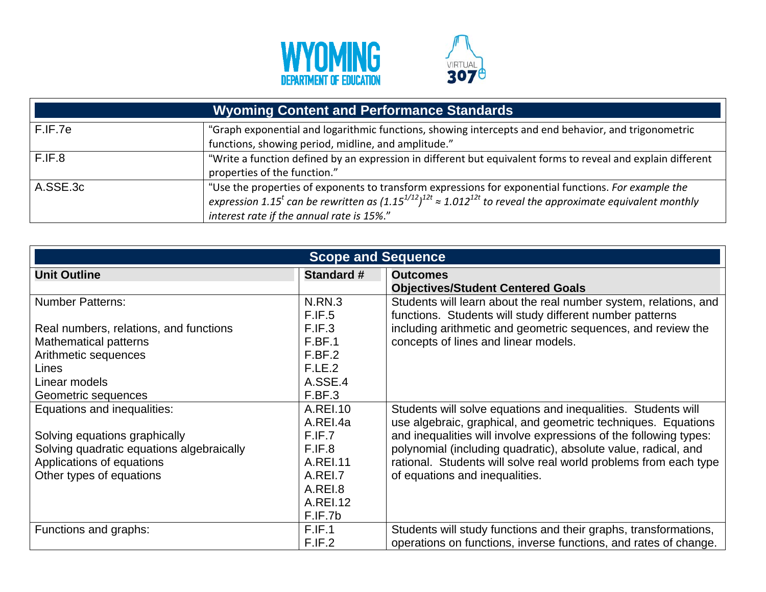



| <b>Wyoming Content and Performance Standards</b> |                                                                                                                                                                                                                                                                                              |  |
|--------------------------------------------------|----------------------------------------------------------------------------------------------------------------------------------------------------------------------------------------------------------------------------------------------------------------------------------------------|--|
| F.IF.7e                                          | "Graph exponential and logarithmic functions, showing intercepts and end behavior, and trigonometric<br>functions, showing period, midline, and amplitude."                                                                                                                                  |  |
| F.IF.8                                           | "Write a function defined by an expression in different but equivalent forms to reveal and explain different<br>properties of the function."                                                                                                                                                 |  |
| A.SSE.3c                                         | "Use the properties of exponents to transform expressions for exponential functions. For example the<br>expression 1.15 <sup>t</sup> can be rewritten as $(1.15^{1/12})^{12t} \approx 1.012^{12t}$ to reveal the approximate equivalent monthly<br>interest rate if the annual rate is 15%." |  |

| <b>Scope and Sequence</b>                 |                   |                                                                   |  |
|-------------------------------------------|-------------------|-------------------------------------------------------------------|--|
| <b>Unit Outline</b>                       | <b>Standard #</b> | <b>Outcomes</b>                                                   |  |
|                                           |                   | <b>Objectives/Student Centered Goals</b>                          |  |
| <b>Number Patterns:</b>                   | <b>N.RN.3</b>     | Students will learn about the real number system, relations, and  |  |
|                                           | F.IF.5            | functions. Students will study different number patterns          |  |
| Real numbers, relations, and functions    | F.IF.3            | including arithmetic and geometric sequences, and review the      |  |
| <b>Mathematical patterns</b>              | F.BF.1            | concepts of lines and linear models.                              |  |
| Arithmetic sequences                      | F.BF.2            |                                                                   |  |
| Lines                                     | F.LE.2            |                                                                   |  |
| Linear models                             | A.SSE.4           |                                                                   |  |
| Geometric sequences                       | F.BF.3            |                                                                   |  |
| Equations and inequalities:               | A.REI.10          | Students will solve equations and inequalities. Students will     |  |
|                                           | A.REI.4a          | use algebraic, graphical, and geometric techniques. Equations     |  |
| Solving equations graphically             | F.IF.7            | and inequalities will involve expressions of the following types: |  |
| Solving quadratic equations algebraically | F.IF.8            | polynomial (including quadratic), absolute value, radical, and    |  |
| Applications of equations                 | A.REI.11          | rational. Students will solve real world problems from each type  |  |
| Other types of equations                  | A.REI.7           | of equations and inequalities.                                    |  |
|                                           | A.REI.8           |                                                                   |  |
|                                           | A.REI.12          |                                                                   |  |
|                                           | F.IF.7b           |                                                                   |  |
| Functions and graphs:                     | F.IF.1            | Students will study functions and their graphs, transformations,  |  |
|                                           | F.IF.2            | operations on functions, inverse functions, and rates of change.  |  |